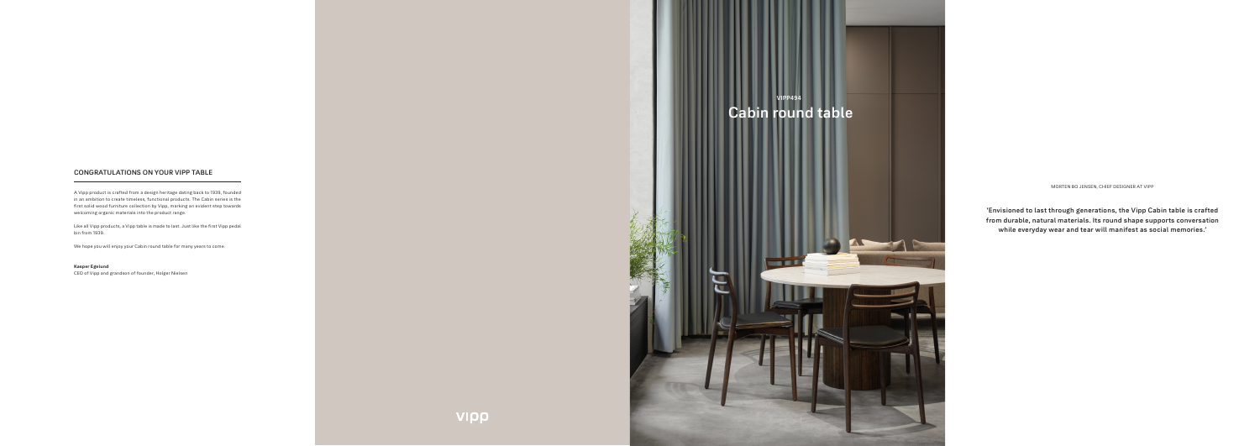**'Envisioned to last through generations, the Vipp Cabin table is crafted from durable, natural materials. Its round shape supports conversation while everyday wear and tear will manifest as social memories.'**

MORTEN BO JENSEN, CHIEF DESIGNER AT VIPP

# **CONGRATULATIONS ON YOUR VIPP TABLE**

A Vipp product is crafted from a design heritage dating back to 1939, founded in an ambition to create timeless, functional products. The Cabin series is the first solid wood furniture collection by Vipp, marking an evident step towards welcoming organic materials into the product range.

Like all Vipp products, a Vipp table is made to last. Just like the first Vipp pedal bin from 1939.

We hope you will enjoy your Cabin round table for many years to come.

### **Kasper Egelund**

CEO of Vipp and grandson of founder, Holger Nielsen